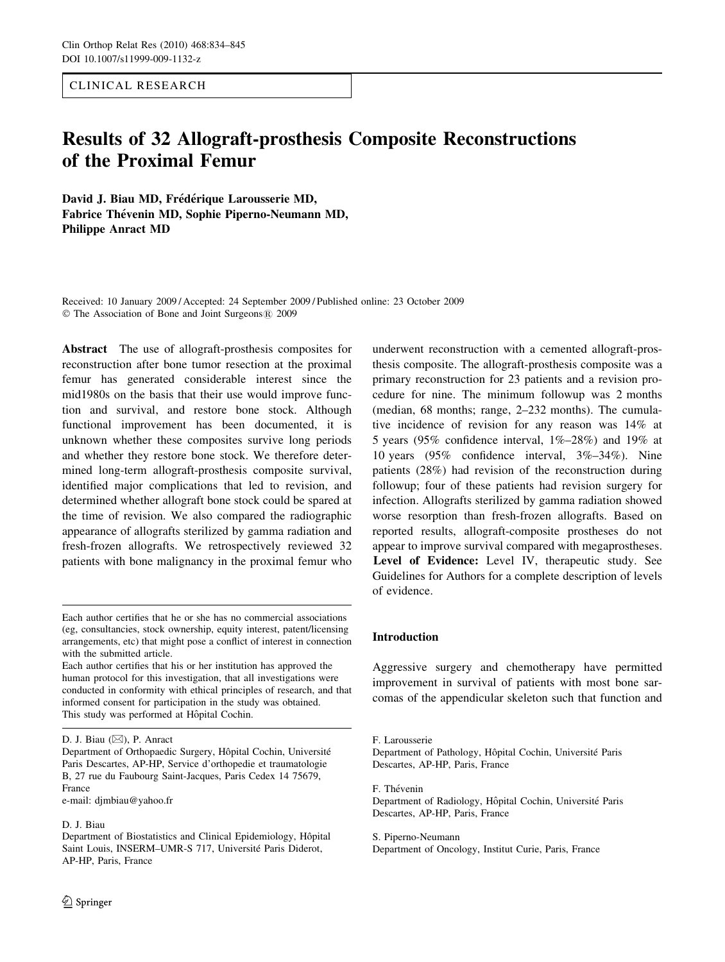CLINICAL RESEARCH

# Results of 32 Allograft-prosthesis Composite Reconstructions of the Proximal Femur

David J. Biau MD, Frédérique Larousserie MD, Fabrice Thévenin MD, Sophie Piperno-Neumann MD, Philippe Anract MD

Received: 10 January 2009 / Accepted: 24 September 2009 / Published online: 23 October 2009  $© The Association of Bone and Joint Surgeons $(R)$  2009$ 

Abstract The use of allograft-prosthesis composites for reconstruction after bone tumor resection at the proximal femur has generated considerable interest since the mid1980s on the basis that their use would improve function and survival, and restore bone stock. Although functional improvement has been documented, it is unknown whether these composites survive long periods and whether they restore bone stock. We therefore determined long-term allograft-prosthesis composite survival, identified major complications that led to revision, and determined whether allograft bone stock could be spared at the time of revision. We also compared the radiographic appearance of allografts sterilized by gamma radiation and fresh-frozen allografts. We retrospectively reviewed 32 patients with bone malignancy in the proximal femur who

D. J. Biau  $(\boxtimes)$ , P. Anract

e-mail: djmbiau@yahoo.fr

#### D. J. Biau

underwent reconstruction with a cemented allograft-prosthesis composite. The allograft-prosthesis composite was a primary reconstruction for 23 patients and a revision procedure for nine. The minimum followup was 2 months (median, 68 months; range, 2–232 months). The cumulative incidence of revision for any reason was 14% at 5 years (95% confidence interval, 1%–28%) and 19% at 10 years (95% confidence interval, 3%–34%). Nine patients (28%) had revision of the reconstruction during followup; four of these patients had revision surgery for infection. Allografts sterilized by gamma radiation showed worse resorption than fresh-frozen allografts. Based on reported results, allograft-composite prostheses do not appear to improve survival compared with megaprostheses. Level of Evidence: Level IV, therapeutic study. See Guidelines for Authors for a complete description of levels of evidence.

### Introduction

Aggressive surgery and chemotherapy have permitted improvement in survival of patients with most bone sarcomas of the appendicular skeleton such that function and

F. Thévenin Department of Radiology, Hôpital Cochin, Université Paris Descartes, AP-HP, Paris, France

S. Piperno-Neumann Department of Oncology, Institut Curie, Paris, France

Each author certifies that he or she has no commercial associations (eg, consultancies, stock ownership, equity interest, patent/licensing arrangements, etc) that might pose a conflict of interest in connection with the submitted article.

Each author certifies that his or her institution has approved the human protocol for this investigation, that all investigations were conducted in conformity with ethical principles of research, and that informed consent for participation in the study was obtained. This study was performed at Hôpital Cochin.

Department of Orthopaedic Surgery, Hôpital Cochin, Université Paris Descartes, AP-HP, Service d'orthopedie et traumatologie B, 27 rue du Faubourg Saint-Jacques, Paris Cedex 14 75679, France

Department of Biostatistics and Clinical Epidemiology, Hôpital Saint Louis, INSERM-UMR-S 717, Université Paris Diderot, AP-HP, Paris, France

F. Larousserie

Department of Pathology, Hôpital Cochin, Université Paris Descartes, AP-HP, Paris, France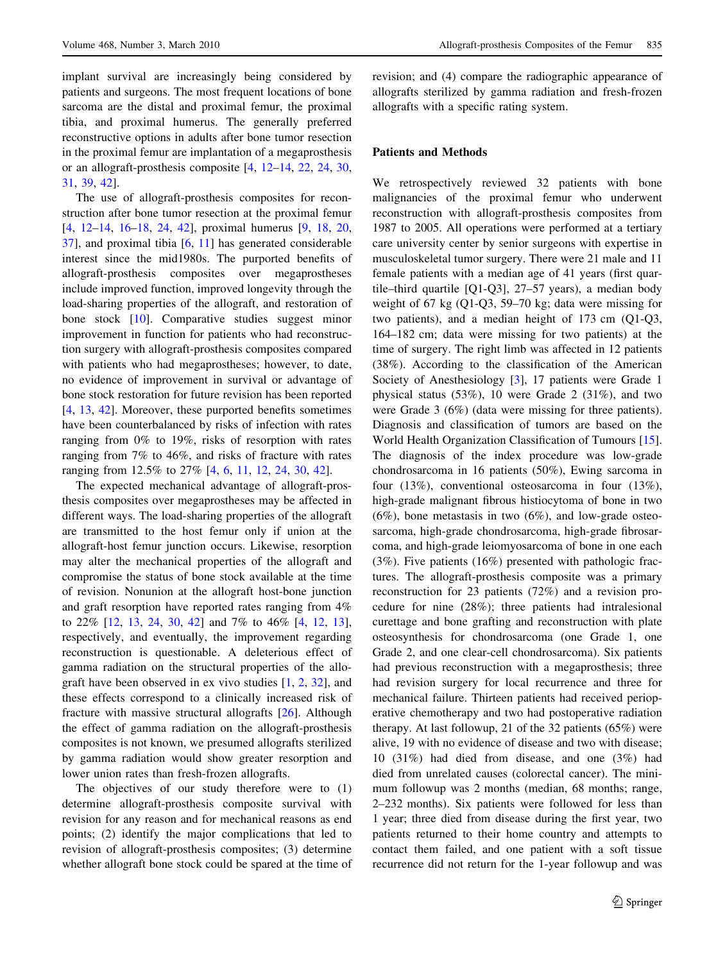implant survival are increasingly being considered by patients and surgeons. The most frequent locations of bone sarcoma are the distal and proximal femur, the proximal tibia, and proximal humerus. The generally preferred reconstructive options in adults after bone tumor resection in the proximal femur are implantation of a megaprosthesis or an allograft-prosthesis composite [[4,](#page-10-0) [12–14](#page-10-0), [22](#page-10-0), [24,](#page-10-0) [30,](#page-10-0) [31,](#page-10-0) [39,](#page-11-0) [42\]](#page-11-0).

The use of allograft-prosthesis composites for reconstruction after bone tumor resection at the proximal femur [\[4](#page-10-0), [12–14,](#page-10-0) [16–18,](#page-10-0) [24](#page-10-0), [42\]](#page-11-0), proximal humerus [\[9](#page-10-0), [18,](#page-10-0) [20,](#page-10-0) [37\]](#page-11-0), and proximal tibia [\[6](#page-10-0), [11\]](#page-10-0) has generated considerable interest since the mid1980s. The purported benefits of allograft-prosthesis composites over megaprostheses include improved function, improved longevity through the load-sharing properties of the allograft, and restoration of bone stock [[10\]](#page-10-0). Comparative studies suggest minor improvement in function for patients who had reconstruction surgery with allograft-prosthesis composites compared with patients who had megaprostheses; however, to date, no evidence of improvement in survival or advantage of bone stock restoration for future revision has been reported [\[4](#page-10-0), [13](#page-10-0), [42](#page-11-0)]. Moreover, these purported benefits sometimes have been counterbalanced by risks of infection with rates ranging from 0% to 19%, risks of resorption with rates ranging from 7% to 46%, and risks of fracture with rates ranging from 12.5% to 27% [[4,](#page-10-0) [6,](#page-10-0) [11](#page-10-0), [12](#page-10-0), [24](#page-10-0), [30,](#page-10-0) [42\]](#page-11-0).

The expected mechanical advantage of allograft-prosthesis composites over megaprostheses may be affected in different ways. The load-sharing properties of the allograft are transmitted to the host femur only if union at the allograft-host femur junction occurs. Likewise, resorption may alter the mechanical properties of the allograft and compromise the status of bone stock available at the time of revision. Nonunion at the allograft host-bone junction and graft resorption have reported rates ranging from 4% to 22% [[12,](#page-10-0) [13](#page-10-0), [24,](#page-10-0) [30](#page-10-0), [42\]](#page-11-0) and 7% to 46% [\[4](#page-10-0), [12,](#page-10-0) [13](#page-10-0)], respectively, and eventually, the improvement regarding reconstruction is questionable. A deleterious effect of gamma radiation on the structural properties of the allograft have been observed in ex vivo studies [[1,](#page-10-0) [2](#page-10-0), [32\]](#page-10-0), and these effects correspond to a clinically increased risk of fracture with massive structural allografts [[26\]](#page-10-0). Although the effect of gamma radiation on the allograft-prosthesis composites is not known, we presumed allografts sterilized by gamma radiation would show greater resorption and lower union rates than fresh-frozen allografts.

The objectives of our study therefore were to (1) determine allograft-prosthesis composite survival with revision for any reason and for mechanical reasons as end points; (2) identify the major complications that led to revision of allograft-prosthesis composites; (3) determine whether allograft bone stock could be spared at the time of revision; and (4) compare the radiographic appearance of allografts sterilized by gamma radiation and fresh-frozen allografts with a specific rating system.

### Patients and Methods

We retrospectively reviewed 32 patients with bone malignancies of the proximal femur who underwent reconstruction with allograft-prosthesis composites from 1987 to 2005. All operations were performed at a tertiary care university center by senior surgeons with expertise in musculoskeletal tumor surgery. There were 21 male and 11 female patients with a median age of 41 years (first quartile–third quartile [Q1-Q3], 27–57 years), a median body weight of 67 kg (Q1-Q3, 59–70 kg; data were missing for two patients), and a median height of 173 cm (Q1-Q3, 164–182 cm; data were missing for two patients) at the time of surgery. The right limb was affected in 12 patients (38%). According to the classification of the American Society of Anesthesiology [[3\]](#page-10-0), 17 patients were Grade 1 physical status (53%), 10 were Grade 2 (31%), and two were Grade 3 (6%) (data were missing for three patients). Diagnosis and classification of tumors are based on the World Health Organization Classification of Tumours [\[15](#page-10-0)]. The diagnosis of the index procedure was low-grade chondrosarcoma in 16 patients (50%), Ewing sarcoma in four (13%), conventional osteosarcoma in four (13%), high-grade malignant fibrous histiocytoma of bone in two  $(6\%)$ , bone metastasis in two  $(6\%)$ , and low-grade osteosarcoma, high-grade chondrosarcoma, high-grade fibrosarcoma, and high-grade leiomyosarcoma of bone in one each (3%). Five patients (16%) presented with pathologic fractures. The allograft-prosthesis composite was a primary reconstruction for 23 patients (72%) and a revision procedure for nine (28%); three patients had intralesional curettage and bone grafting and reconstruction with plate osteosynthesis for chondrosarcoma (one Grade 1, one Grade 2, and one clear-cell chondrosarcoma). Six patients had previous reconstruction with a megaprosthesis; three had revision surgery for local recurrence and three for mechanical failure. Thirteen patients had received perioperative chemotherapy and two had postoperative radiation therapy. At last followup, 21 of the 32 patients (65%) were alive, 19 with no evidence of disease and two with disease; 10 (31%) had died from disease, and one (3%) had died from unrelated causes (colorectal cancer). The minimum followup was 2 months (median, 68 months; range, 2–232 months). Six patients were followed for less than 1 year; three died from disease during the first year, two patients returned to their home country and attempts to contact them failed, and one patient with a soft tissue recurrence did not return for the 1-year followup and was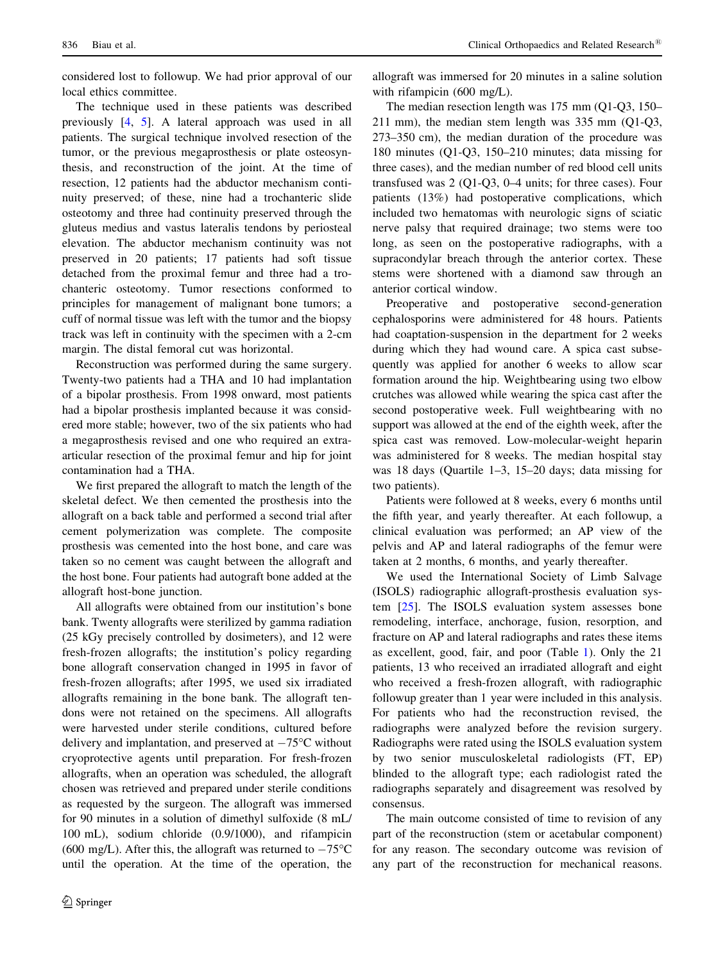considered lost to followup. We had prior approval of our local ethics committee.

The technique used in these patients was described previously [[4](#page-10-0), [5\]](#page-10-0). A lateral approach was used in all patients. The surgical technique involved resection of the tumor, or the previous megaprosthesis or plate osteosynthesis, and reconstruction of the joint. At the time of resection, 12 patients had the abductor mechanism continuity preserved; of these, nine had a trochanteric slide osteotomy and three had continuity preserved through the gluteus medius and vastus lateralis tendons by periosteal elevation. The abductor mechanism continuity was not preserved in 20 patients; 17 patients had soft tissue detached from the proximal femur and three had a trochanteric osteotomy. Tumor resections conformed to principles for management of malignant bone tumors; a cuff of normal tissue was left with the tumor and the biopsy track was left in continuity with the specimen with a 2-cm margin. The distal femoral cut was horizontal.

Reconstruction was performed during the same surgery. Twenty-two patients had a THA and 10 had implantation of a bipolar prosthesis. From 1998 onward, most patients had a bipolar prosthesis implanted because it was considered more stable; however, two of the six patients who had a megaprosthesis revised and one who required an extraarticular resection of the proximal femur and hip for joint contamination had a THA.

We first prepared the allograft to match the length of the skeletal defect. We then cemented the prosthesis into the allograft on a back table and performed a second trial after cement polymerization was complete. The composite prosthesis was cemented into the host bone, and care was taken so no cement was caught between the allograft and the host bone. Four patients had autograft bone added at the allograft host-bone junction.

All allografts were obtained from our institution's bone bank. Twenty allografts were sterilized by gamma radiation (25 kGy precisely controlled by dosimeters), and 12 were fresh-frozen allografts; the institution's policy regarding bone allograft conservation changed in 1995 in favor of fresh-frozen allografts; after 1995, we used six irradiated allografts remaining in the bone bank. The allograft tendons were not retained on the specimens. All allografts were harvested under sterile conditions, cultured before delivery and implantation, and preserved at  $-75^{\circ}$ C without cryoprotective agents until preparation. For fresh-frozen allografts, when an operation was scheduled, the allograft chosen was retrieved and prepared under sterile conditions as requested by the surgeon. The allograft was immersed for 90 minutes in a solution of dimethyl sulfoxide (8 mL/ 100 mL), sodium chloride (0.9/1000), and rifampicin (600 mg/L). After this, the allograft was returned to  $-75^{\circ}$ C until the operation. At the time of the operation, the

allograft was immersed for 20 minutes in a saline solution with rifampicin (600 mg/L).

The median resection length was 175 mm (Q1-Q3, 150– 211 mm), the median stem length was 335 mm (Q1-Q3, 273–350 cm), the median duration of the procedure was 180 minutes (Q1-Q3, 150–210 minutes; data missing for three cases), and the median number of red blood cell units transfused was 2 (Q1-Q3, 0–4 units; for three cases). Four patients (13%) had postoperative complications, which included two hematomas with neurologic signs of sciatic nerve palsy that required drainage; two stems were too long, as seen on the postoperative radiographs, with a supracondylar breach through the anterior cortex. These stems were shortened with a diamond saw through an anterior cortical window.

Preoperative and postoperative second-generation cephalosporins were administered for 48 hours. Patients had coaptation-suspension in the department for 2 weeks during which they had wound care. A spica cast subsequently was applied for another 6 weeks to allow scar formation around the hip. Weightbearing using two elbow crutches was allowed while wearing the spica cast after the second postoperative week. Full weightbearing with no support was allowed at the end of the eighth week, after the spica cast was removed. Low-molecular-weight heparin was administered for 8 weeks. The median hospital stay was 18 days (Quartile 1–3, 15–20 days; data missing for two patients).

Patients were followed at 8 weeks, every 6 months until the fifth year, and yearly thereafter. At each followup, a clinical evaluation was performed; an AP view of the pelvis and AP and lateral radiographs of the femur were taken at 2 months, 6 months, and yearly thereafter.

We used the International Society of Limb Salvage (ISOLS) radiographic allograft-prosthesis evaluation system [\[25](#page-10-0)]. The ISOLS evaluation system assesses bone remodeling, interface, anchorage, fusion, resorption, and fracture on AP and lateral radiographs and rates these items as excellent, good, fair, and poor (Table [1\)](#page-3-0). Only the 21 patients, 13 who received an irradiated allograft and eight who received a fresh-frozen allograft, with radiographic followup greater than 1 year were included in this analysis. For patients who had the reconstruction revised, the radiographs were analyzed before the revision surgery. Radiographs were rated using the ISOLS evaluation system by two senior musculoskeletal radiologists (FT, EP) blinded to the allograft type; each radiologist rated the radiographs separately and disagreement was resolved by consensus.

The main outcome consisted of time to revision of any part of the reconstruction (stem or acetabular component) for any reason. The secondary outcome was revision of any part of the reconstruction for mechanical reasons.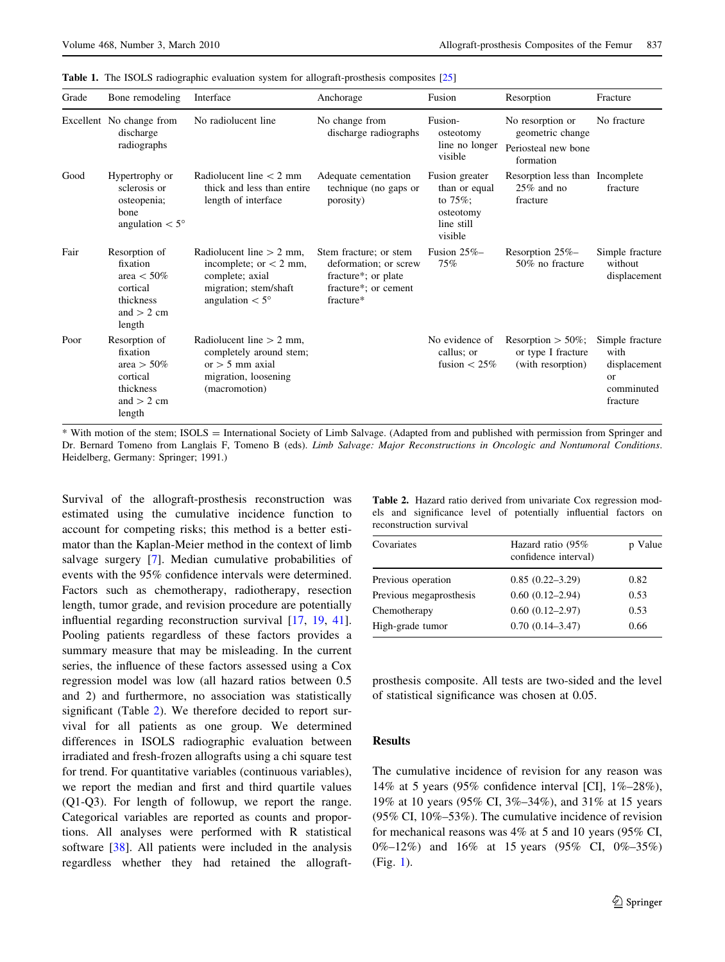<span id="page-3-0"></span>

|  |  |  |  |  |  | <b>Table 1.</b> The ISOLS radiographic evaluation system for allograft-prosthesis composites [25] |  |  |
|--|--|--|--|--|--|---------------------------------------------------------------------------------------------------|--|--|
|--|--|--|--|--|--|---------------------------------------------------------------------------------------------------|--|--|

| Grade | Bone remodeling                                                                               | Interface                                                                                                                      | Anchorage                                                                                                   | Fusion                                                                              | Resorption                                                               | Fracture                                                                      |
|-------|-----------------------------------------------------------------------------------------------|--------------------------------------------------------------------------------------------------------------------------------|-------------------------------------------------------------------------------------------------------------|-------------------------------------------------------------------------------------|--------------------------------------------------------------------------|-------------------------------------------------------------------------------|
|       | Excellent No change from<br>discharge<br>radiographs                                          | No radiolucent line                                                                                                            | No change from<br>discharge radiographs                                                                     | Fusion-<br>osteotomy<br>line no longer<br>visible                                   | No resorption or<br>geometric change<br>Periosteal new bone<br>formation | No fracture                                                                   |
| Good  | Hypertrophy or<br>sclerosis or<br>osteopenia;<br>bone<br>angulation $< 5^{\circ}$             | Radiolucent line $<$ 2 mm<br>thick and less than entire<br>length of interface                                                 | Adequate cementation<br>technique (no gaps or<br>porosity)                                                  | Fusion greater<br>than or equal<br>to $75%$ ;<br>osteotomy<br>line still<br>visible | Resorption less than Incomplete<br>$25\%$ and no<br>fracture             | fracture                                                                      |
| Fair  | Resorption of<br>fixation<br>area $< 50\%$<br>cortical<br>thickness<br>and $> 2$ cm<br>length | Radiolucent line $> 2$ mm.<br>incomplete; or $<$ 2 mm,<br>complete; axial<br>migration; stem/shaft<br>angulation $< 5^{\circ}$ | Stem fracture; or stem<br>deformation; or screw<br>fracture*; or plate<br>fracture*; or cement<br>fracture* | Fusion $25\%$ -<br>75%                                                              | Resorption 25%-<br>50% no fracture                                       | Simple fracture<br>without<br>displacement                                    |
| Poor  | Resorption of<br>fixation<br>area $> 50\%$<br>cortical<br>thickness<br>and $> 2$ cm<br>length | Radiolucent line $> 2$ mm,<br>completely around stem;<br>$or > 5$ mm axial<br>migration, loosening<br>(macromotion)            |                                                                                                             | No evidence of<br>callus; or<br>fusion $< 25\%$                                     | Resorption $> 50\%$ ;<br>or type I fracture<br>(with resorption)         | Simple fracture<br>with<br>displacement<br>$\alpha$<br>comminuted<br>fracture |

\* With motion of the stem; ISOLS = International Society of Limb Salvage. (Adapted from and published with permission from Springer and Dr. Bernard Tomeno from Langlais F, Tomeno B (eds). Limb Salvage: Major Reconstructions in Oncologic and Nontumoral Conditions. Heidelberg, Germany: Springer; 1991.)

Survival of the allograft-prosthesis reconstruction was estimated using the cumulative incidence function to account for competing risks; this method is a better estimator than the Kaplan-Meier method in the context of limb salvage surgery [\[7](#page-10-0)]. Median cumulative probabilities of events with the 95% confidence intervals were determined. Factors such as chemotherapy, radiotherapy, resection length, tumor grade, and revision procedure are potentially influential regarding reconstruction survival [[17,](#page-10-0) [19,](#page-10-0) [41](#page-11-0)]. Pooling patients regardless of these factors provides a summary measure that may be misleading. In the current series, the influence of these factors assessed using a Cox regression model was low (all hazard ratios between 0.5 and 2) and furthermore, no association was statistically significant (Table 2). We therefore decided to report survival for all patients as one group. We determined differences in ISOLS radiographic evaluation between irradiated and fresh-frozen allografts using a chi square test for trend. For quantitative variables (continuous variables), we report the median and first and third quartile values (Q1-Q3). For length of followup, we report the range. Categorical variables are reported as counts and proportions. All analyses were performed with R statistical software [\[38](#page-11-0)]. All patients were included in the analysis regardless whether they had retained the allograft-

Table 2. Hazard ratio derived from univariate Cox regression models and significance level of potentially influential factors on reconstruction survival

| Covariates              | Hazard ratio (95%<br>confidence interval) | p Value |
|-------------------------|-------------------------------------------|---------|
| Previous operation      | $0.85(0.22 - 3.29)$                       | 0.82    |
| Previous megaprosthesis | $0.60(0.12-2.94)$                         | 0.53    |
| Chemotherapy            | $0.60(0.12 - 2.97)$                       | 0.53    |
| High-grade tumor        | $0.70(0.14 - 3.47)$                       | 0.66    |

prosthesis composite. All tests are two-sided and the level of statistical significance was chosen at 0.05.

# Results

The cumulative incidence of revision for any reason was 14% at 5 years (95% confidence interval [CI], 1%–28%), 19% at 10 years (95% CI, 3%–34%), and 31% at 15 years (95% CI, 10%–53%). The cumulative incidence of revision for mechanical reasons was 4% at 5 and 10 years (95% CI, 0%–12%) and 16% at 15 years (95% CI, 0%–35%) (Fig. [1\)](#page-4-0).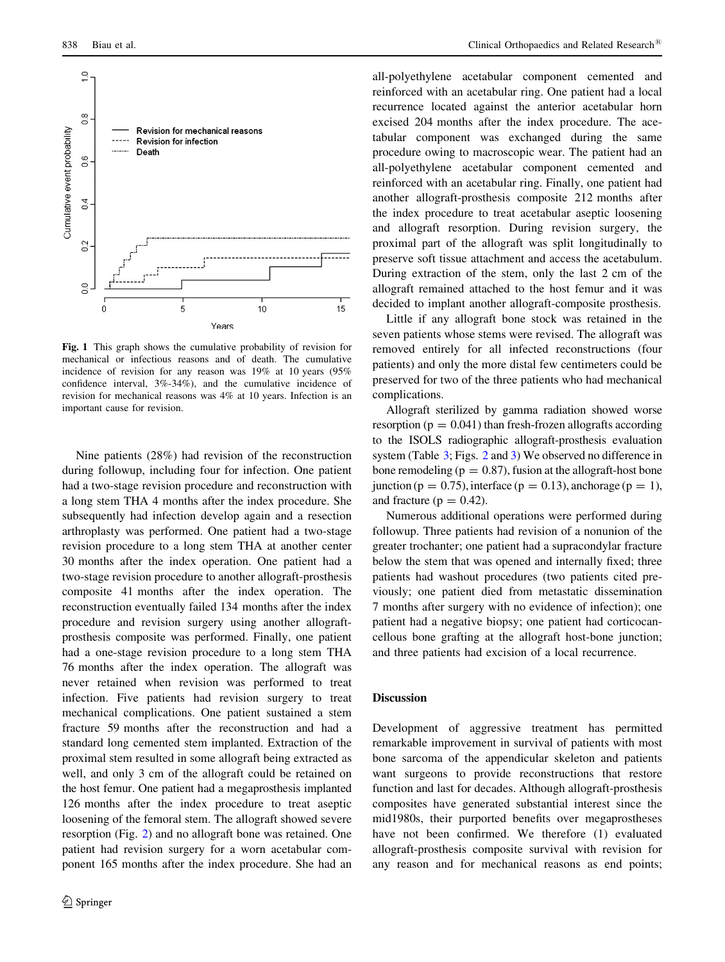<span id="page-4-0"></span>

Fig. 1 This graph shows the cumulative probability of revision for mechanical or infectious reasons and of death. The cumulative incidence of revision for any reason was 19% at 10 years (95% confidence interval, 3%-34%), and the cumulative incidence of revision for mechanical reasons was 4% at 10 years. Infection is an important cause for revision.

Nine patients (28%) had revision of the reconstruction during followup, including four for infection. One patient had a two-stage revision procedure and reconstruction with a long stem THA 4 months after the index procedure. She subsequently had infection develop again and a resection arthroplasty was performed. One patient had a two-stage revision procedure to a long stem THA at another center 30 months after the index operation. One patient had a two-stage revision procedure to another allograft-prosthesis composite 41 months after the index operation. The reconstruction eventually failed 134 months after the index procedure and revision surgery using another allograftprosthesis composite was performed. Finally, one patient had a one-stage revision procedure to a long stem THA 76 months after the index operation. The allograft was never retained when revision was performed to treat infection. Five patients had revision surgery to treat mechanical complications. One patient sustained a stem fracture 59 months after the reconstruction and had a standard long cemented stem implanted. Extraction of the proximal stem resulted in some allograft being extracted as well, and only 3 cm of the allograft could be retained on the host femur. One patient had a megaprosthesis implanted 126 months after the index procedure to treat aseptic loosening of the femoral stem. The allograft showed severe resorption (Fig. [2\)](#page-5-0) and no allograft bone was retained. One patient had revision surgery for a worn acetabular component 165 months after the index procedure. She had an all-polyethylene acetabular component cemented and reinforced with an acetabular ring. One patient had a local recurrence located against the anterior acetabular horn excised 204 months after the index procedure. The acetabular component was exchanged during the same procedure owing to macroscopic wear. The patient had an all-polyethylene acetabular component cemented and reinforced with an acetabular ring. Finally, one patient had another allograft-prosthesis composite 212 months after the index procedure to treat acetabular aseptic loosening and allograft resorption. During revision surgery, the proximal part of the allograft was split longitudinally to preserve soft tissue attachment and access the acetabulum. During extraction of the stem, only the last 2 cm of the allograft remained attached to the host femur and it was decided to implant another allograft-composite prosthesis.

Little if any allograft bone stock was retained in the seven patients whose stems were revised. The allograft was removed entirely for all infected reconstructions (four patients) and only the more distal few centimeters could be preserved for two of the three patients who had mechanical complications.

Allograft sterilized by gamma radiation showed worse resorption ( $p = 0.041$ ) than fresh-frozen allografts according to the ISOLS radiographic allograft-prosthesis evaluation system (Table [3](#page-5-0); Figs. [2](#page-5-0) and [3\)](#page-6-0) We observed no difference in bone remodeling ( $p = 0.87$ ), fusion at the allograft-host bone junction ( $p = 0.75$ ), interface ( $p = 0.13$ ), anchorage ( $p = 1$ ), and fracture ( $p = 0.42$ ).

Numerous additional operations were performed during followup. Three patients had revision of a nonunion of the greater trochanter; one patient had a supracondylar fracture below the stem that was opened and internally fixed; three patients had washout procedures (two patients cited previously; one patient died from metastatic dissemination 7 months after surgery with no evidence of infection); one patient had a negative biopsy; one patient had corticocancellous bone grafting at the allograft host-bone junction; and three patients had excision of a local recurrence.

# Discussion

Development of aggressive treatment has permitted remarkable improvement in survival of patients with most bone sarcoma of the appendicular skeleton and patients want surgeons to provide reconstructions that restore function and last for decades. Although allograft-prosthesis composites have generated substantial interest since the mid1980s, their purported benefits over megaprostheses have not been confirmed. We therefore (1) evaluated allograft-prosthesis composite survival with revision for any reason and for mechanical reasons as end points;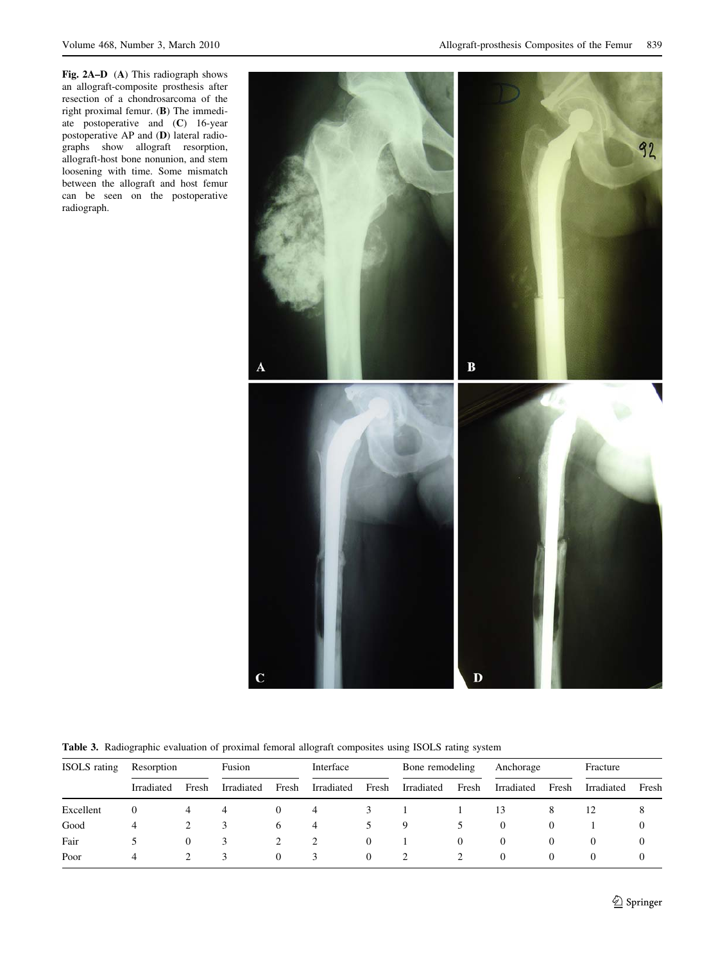<span id="page-5-0"></span>Fig. 2A–D (A) This radiograph shows an allograft-composite prosthesis after resection of a chondrosarcoma of the right proximal femur. (B) The immediate postoperative and (C) 16-year postoperative AP and (D) lateral radiographs show allograft resorption, allograft-host bone nonunion, and stem loosening with time. Some mismatch between the allograft and host femur can be seen on the postoperative radiograph.



Table 3. Radiographic evaluation of proximal femoral allograft composites using ISOLS rating system

| <b>ISOLS</b> rating | Resorption |          | Fusion     |          | Interface  |          | Bone remodeling |          | Anchorage  |          | Fracture   |          |
|---------------------|------------|----------|------------|----------|------------|----------|-----------------|----------|------------|----------|------------|----------|
|                     | Irradiated | Fresh    | Irradiated | Fresh    | Irradiated | Fresh    | Irradiated      | Fresh    | Irradiated | Fresh    | Irradiated | Fresh    |
| Excellent           |            | 4        |            | $\theta$ | 4          |          |                 |          | 13         | 8        |            |          |
| Good                | 4          |          |            | 6        | 4          |          | 9               |          |            |          |            | 0        |
| Fair                |            | $\theta$ | 3          |          |            | $\theta$ |                 | $\Omega$ | $\theta$   | $\theta$ | $\theta$   | $\theta$ |
| Poor                | 4          |          |            | $\Omega$ | 3          | $\Omega$ |                 |          | $\theta$   | $\theta$ | $\Omega$   | $\Omega$ |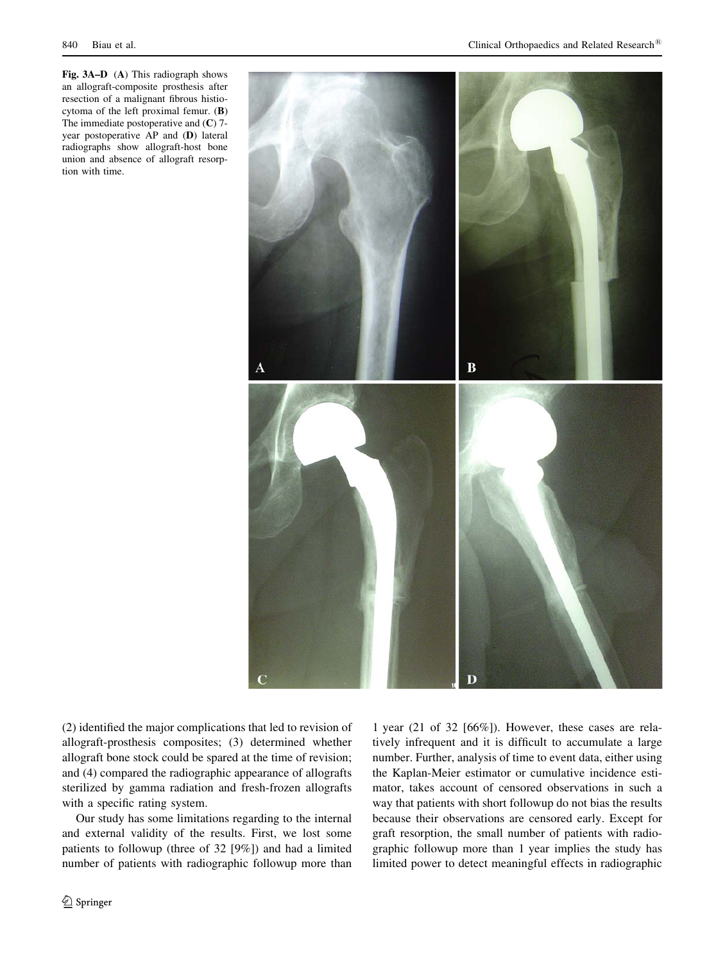<span id="page-6-0"></span>Fig. 3A–D (A) This radiograph shows an allograft-composite prosthesis after resection of a malignant fibrous histiocytoma of the left proximal femur. (B) The immediate postoperative and  $(C)$  7year postoperative AP and (D) lateral radiographs show allograft-host bone union and absence of allograft resorption with time.



(2) identified the major complications that led to revision of allograft-prosthesis composites; (3) determined whether allograft bone stock could be spared at the time of revision; and (4) compared the radiographic appearance of allografts sterilized by gamma radiation and fresh-frozen allografts with a specific rating system.

Our study has some limitations regarding to the internal and external validity of the results. First, we lost some patients to followup (three of 32 [9%]) and had a limited number of patients with radiographic followup more than

<sup>2</sup> Springer

1 year (21 of 32 [66%]). However, these cases are relatively infrequent and it is difficult to accumulate a large number. Further, analysis of time to event data, either using the Kaplan-Meier estimator or cumulative incidence estimator, takes account of censored observations in such a way that patients with short followup do not bias the results because their observations are censored early. Except for graft resorption, the small number of patients with radiographic followup more than 1 year implies the study has limited power to detect meaningful effects in radiographic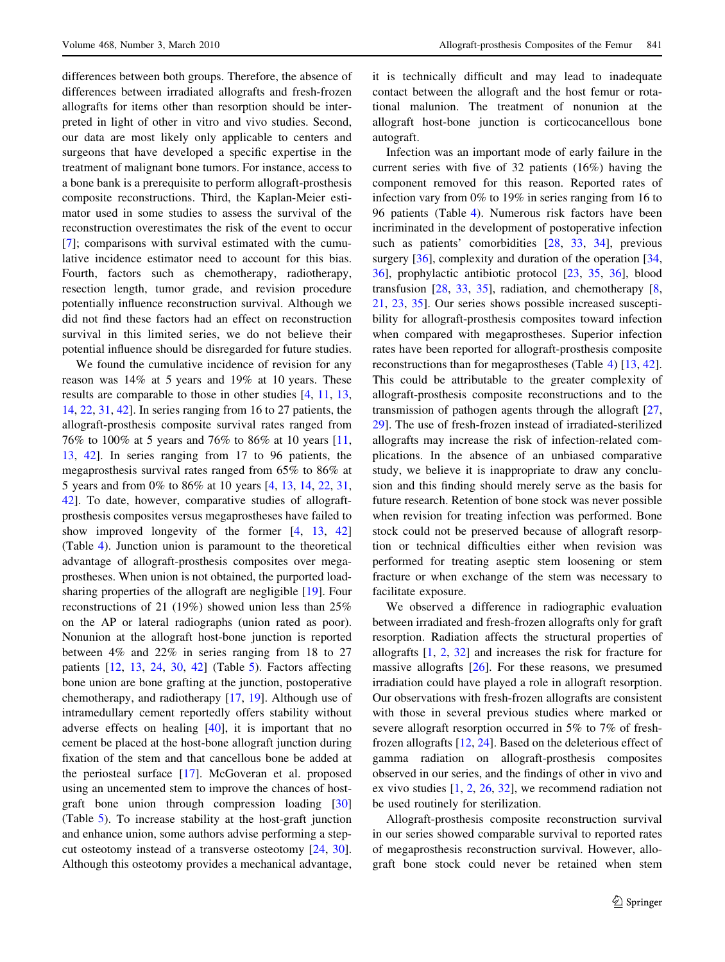differences between both groups. Therefore, the absence of differences between irradiated allografts and fresh-frozen allografts for items other than resorption should be interpreted in light of other in vitro and vivo studies. Second, our data are most likely only applicable to centers and surgeons that have developed a specific expertise in the treatment of malignant bone tumors. For instance, access to a bone bank is a prerequisite to perform allograft-prosthesis composite reconstructions. Third, the Kaplan-Meier estimator used in some studies to assess the survival of the reconstruction overestimates the risk of the event to occur [\[7](#page-10-0)]; comparisons with survival estimated with the cumulative incidence estimator need to account for this bias. Fourth, factors such as chemotherapy, radiotherapy, resection length, tumor grade, and revision procedure potentially influence reconstruction survival. Although we did not find these factors had an effect on reconstruction survival in this limited series, we do not believe their potential influence should be disregarded for future studies.

We found the cumulative incidence of revision for any reason was 14% at 5 years and 19% at 10 years. These results are comparable to those in other studies [\[4](#page-10-0), [11,](#page-10-0) [13,](#page-10-0) [14](#page-10-0), [22,](#page-10-0) [31,](#page-10-0) [42\]](#page-11-0). In series ranging from 16 to 27 patients, the allograft-prosthesis composite survival rates ranged from 76% to 100% at 5 years and 76% to 86% at 10 years [[11,](#page-10-0) [13](#page-10-0), [42\]](#page-11-0). In series ranging from 17 to 96 patients, the megaprosthesis survival rates ranged from 65% to 86% at 5 years and from 0% to 86% at 10 years [[4,](#page-10-0) [13,](#page-10-0) [14](#page-10-0), [22](#page-10-0), [31,](#page-10-0) [42\]](#page-11-0). To date, however, comparative studies of allograftprosthesis composites versus megaprostheses have failed to show improved longevity of the former [[4,](#page-10-0) [13](#page-10-0), [42\]](#page-11-0) (Table [4\)](#page-8-0). Junction union is paramount to the theoretical advantage of allograft-prosthesis composites over megaprostheses. When union is not obtained, the purported loadsharing properties of the allograft are negligible [[19\]](#page-10-0). Four reconstructions of 21 (19%) showed union less than 25% on the AP or lateral radiographs (union rated as poor). Nonunion at the allograft host-bone junction is reported between 4% and 22% in series ranging from 18 to 27 patients [[12,](#page-10-0) [13,](#page-10-0) [24,](#page-10-0) [30](#page-10-0), [42](#page-11-0)] (Table [5](#page-9-0)). Factors affecting bone union are bone grafting at the junction, postoperative chemotherapy, and radiotherapy [\[17](#page-10-0), [19](#page-10-0)]. Although use of intramedullary cement reportedly offers stability without adverse effects on healing [[40\]](#page-11-0), it is important that no cement be placed at the host-bone allograft junction during fixation of the stem and that cancellous bone be added at the periosteal surface [[17\]](#page-10-0). McGoveran et al. proposed using an uncemented stem to improve the chances of hostgraft bone union through compression loading [[30\]](#page-10-0) (Table [5\)](#page-9-0). To increase stability at the host-graft junction and enhance union, some authors advise performing a stepcut osteotomy instead of a transverse osteotomy [\[24](#page-10-0), [30](#page-10-0)]. Although this osteotomy provides a mechanical advantage, it is technically difficult and may lead to inadequate contact between the allograft and the host femur or rotational malunion. The treatment of nonunion at the allograft host-bone junction is corticocancellous bone autograft.

Infection was an important mode of early failure in the current series with five of 32 patients (16%) having the component removed for this reason. Reported rates of infection vary from 0% to 19% in series ranging from 16 to 96 patients (Table [4\)](#page-8-0). Numerous risk factors have been incriminated in the development of postoperative infection such as patients' comorbidities [\[28](#page-10-0), [33](#page-10-0), [34\]](#page-10-0), previous surgery [\[36](#page-11-0)], complexity and duration of the operation [[34,](#page-10-0) [36](#page-11-0)], prophylactic antibiotic protocol [\[23](#page-10-0), [35](#page-10-0), [36\]](#page-11-0), blood transfusion [\[28](#page-10-0), [33,](#page-10-0) [35](#page-10-0)], radiation, and chemotherapy [[8,](#page-10-0) [21](#page-10-0), [23](#page-10-0), [35](#page-10-0)]. Our series shows possible increased susceptibility for allograft-prosthesis composites toward infection when compared with megaprostheses. Superior infection rates have been reported for allograft-prosthesis composite reconstructions than for megaprostheses (Table [4](#page-8-0)) [\[13](#page-10-0), [42](#page-11-0)]. This could be attributable to the greater complexity of allograft-prosthesis composite reconstructions and to the transmission of pathogen agents through the allograft [[27,](#page-10-0) [29](#page-10-0)]. The use of fresh-frozen instead of irradiated-sterilized allografts may increase the risk of infection-related complications. In the absence of an unbiased comparative study, we believe it is inappropriate to draw any conclusion and this finding should merely serve as the basis for future research. Retention of bone stock was never possible when revision for treating infection was performed. Bone stock could not be preserved because of allograft resorption or technical difficulties either when revision was performed for treating aseptic stem loosening or stem fracture or when exchange of the stem was necessary to facilitate exposure.

We observed a difference in radiographic evaluation between irradiated and fresh-frozen allografts only for graft resorption. Radiation affects the structural properties of allografts [[1,](#page-10-0) [2,](#page-10-0) [32](#page-10-0)] and increases the risk for fracture for massive allografts  $[26]$  $[26]$ . For these reasons, we presumed irradiation could have played a role in allograft resorption. Our observations with fresh-frozen allografts are consistent with those in several previous studies where marked or severe allograft resorption occurred in 5% to 7% of freshfrozen allografts [[12,](#page-10-0) [24](#page-10-0)]. Based on the deleterious effect of gamma radiation on allograft-prosthesis composites observed in our series, and the findings of other in vivo and ex vivo studies [\[1](#page-10-0), [2,](#page-10-0) [26,](#page-10-0) [32](#page-10-0)], we recommend radiation not be used routinely for sterilization.

Allograft-prosthesis composite reconstruction survival in our series showed comparable survival to reported rates of megaprosthesis reconstruction survival. However, allograft bone stock could never be retained when stem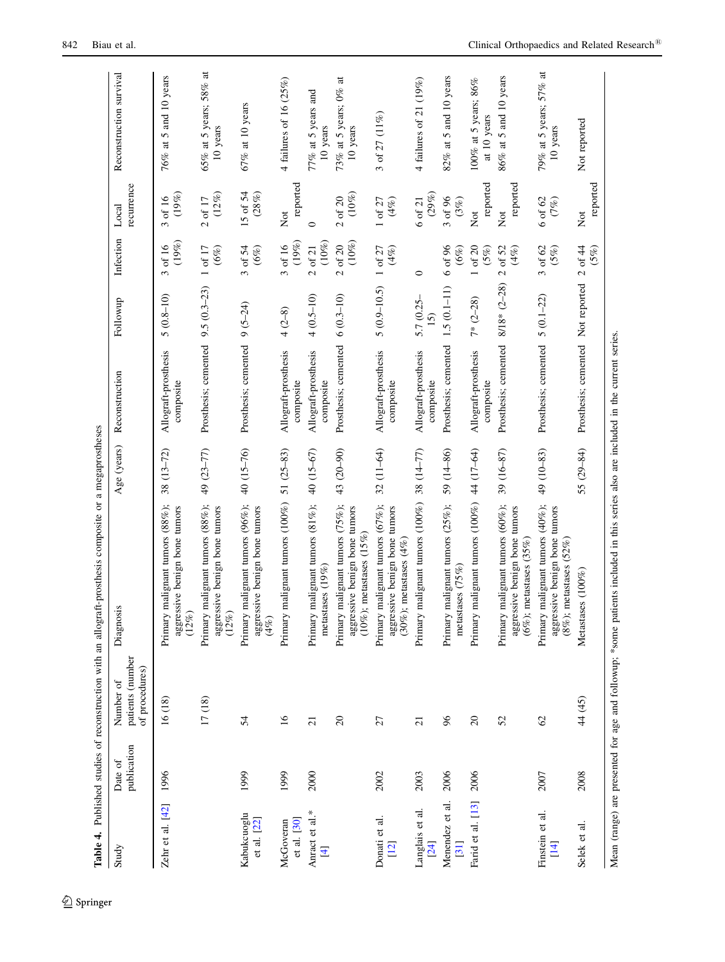<span id="page-8-0"></span>

|                                  |                        |                                                 | Table 4. Published studies of reconstruction with an allograft-prosthesis composite or a megaprostheses                          |             |                                   |                                 |                                                 |                              |                                               |
|----------------------------------|------------------------|-------------------------------------------------|----------------------------------------------------------------------------------------------------------------------------------|-------------|-----------------------------------|---------------------------------|-------------------------------------------------|------------------------------|-----------------------------------------------|
| Study                            | publication<br>Date of | patients (number<br>of procedures)<br>Number of | Diagnosis                                                                                                                        | Age (years) | Reconstruction                    | Followup                        | Infection                                       | recurrence<br>Local          | Reconstruction survival                       |
| Zehr et al. $[42]$               | 1996                   | 16(18)                                          | Primary malignant tumors (88%);<br>aggressive benign bone tumors<br>(12%)                                                        | $38(13-72)$ | Allograft-prosthesis<br>composite | $5(0.8 - 10)$                   | (19%)<br>of 16<br>$\tilde{\epsilon}$            | (19%)<br>3 of 16             | 76% at 5 and 10 years                         |
|                                  |                        | 17(18)                                          | Primary malignant tumors (88%);<br>aggressive benign bone tumors<br>(12%)                                                        | 49 (23-77)  | Prosthesis; cemented              | $9.5(0.3-23)$                   | 1 of 17<br>$(6\%)$                              | $(12\%)$<br>2 of 17          | 65% at 5 years; 58% at<br>10 years            |
| Kabukcuoglu<br>et al. $[22]$     | 1999                   | 54                                              | Primary malignant tumors (96%);<br>aggressive benign bone tumors<br>$(4\%)$                                                      | 40 (15-76)  | Prosthesis; cemented              | $9(5-24)$                       | 3 of 54<br>$(6\%)$                              | 15 of 54<br>(28%)            | $67\%$ at 10 years                            |
| et al. [30]<br>McGoveran         | 1999                   | $\tilde{16}$                                    | Primary malignant tumors (100%)                                                                                                  | $51(25-83)$ | Allograft-prosthesis<br>composite | $4(2-8)$                        | (19%)<br>of 16<br>$\epsilon$                    | reported<br>$\sum_{i=1}^{n}$ | 4 failures of 16 $(25\%)$                     |
| Anract et al.*<br>$\overline{4}$ | 2000                   | $\overline{c}$                                  | Primary malignant tumors (81%);<br>metastases $(19\%)$                                                                           | 40 (15-67)  | Allograft-prosthesis<br>composite | $4(0.5-10)$                     | $(10\%)$<br>of $21$<br>$\overline{\mathcal{C}}$ | $\circ$                      | 77% at 5 years and<br>10 years                |
|                                  |                        | $\Omega$                                        | Primary malignant tumors (75%);<br>aggressive benign bone tumors<br>$(10\%)$ ; metastases $(15\%)$                               | 43 (20-90)  | Prosthesis; cemented              | $6(0.3-10)$                     | $(10\%)$<br>of $20$<br>$\overline{\mathcal{C}}$ | $(10\%)$<br>$2$ of $20$      | $\sharp$<br>73% at 5 years; $0\%$<br>10 years |
| Donati et al.<br>$[12]$          | 2002                   | 27                                              | Primary malignant tumors (67%);<br>aggressive benign bone tumors<br>$(30\%)$ ; metastases $(4\%)$                                | $32(11-64)$ | Allograft-prosthesis<br>composite | $5(0.9 - 10.5)$                 | $1$ of $27$<br>(4%)                             | $(4\%)$<br>$1$ of $27\,$     | 3 of 27 $(11%)$                               |
| Langlais et al.<br>[24]          | 2003                   | $\overline{c}$                                  | Primary malignant tumors (100%) 38 (14-77)                                                                                       |             | Allograft-prosthesis<br>composite | $5.7(0.25 -$<br>$\overline{15}$ | $\circ$                                         | $(29\%)$<br>6 of 21          | 4 failures of 21 $(19\%)$                     |
| Menendez et al.<br>[31]          | 2006                   | 96                                              | Primary malignant tumors (25%);<br>metastases $(75%)$                                                                            | 59 (14-86)  | Prosthesis; cemented              | $1.5(0.1 - 11)$                 | 6 of 96<br>(6%)                                 | 3 of 96<br>(3%)              | $82\%$ at 5 and 10 years                      |
| Farid et al. [13]                | 2006                   | $\Omega$                                        | Primary malignant tumors (100%) 44 (17-64)                                                                                       |             | Allograft-prosthesis<br>composite | $7*$ (2-28)                     | $1$ of $20$<br>$(5\%)$                          | reported<br>Χø               | $100\%$ at 5 years; $86\%$<br>at 10 years     |
|                                  |                        | 52                                              | Primary malignant tumors (60%);<br>aggressive benign bone tumors<br>(6%); metastases $(35\%)$                                    | 39 (16-87)  | Prosthesis; cemented              | 8/18* (2-28)                    | $2$ of $52$<br>$(4\%)$                          | reported<br>Χø               | $86\%$ at 5 and 10 years                      |
| Finstein et al.<br>$[14]$        | 2007                   | $\infty$                                        | Primary malignant tumors (40%);<br>aggressive benign bone tumors<br>$(8\%)$ ; metastases $(52\%)$                                | 49 (10-83)  | Prosthesis; cemented              | $5(0.1-22)$                     | $3$ of $62$<br>$(5\%)$                          | 6 of 62<br>(7%)              | 79% at 5 years; 57% at<br>10 years            |
| Selek et al                      | 2008                   | 44 (45)                                         | Metastases $(100\%$                                                                                                              | 55 (29-84)  | Prosthesis; cemented              | Not reported                    | $2$ of $44$<br>(5%)                             | reported<br>Xot              | Not reported                                  |
|                                  |                        |                                                 | Mean (range) are presented for age and followup; *some patients included in this series also are included in the current series. |             |                                   |                                 |                                                 |                              |                                               |

 $\underline{\textcircled{\tiny 2}}$  Springer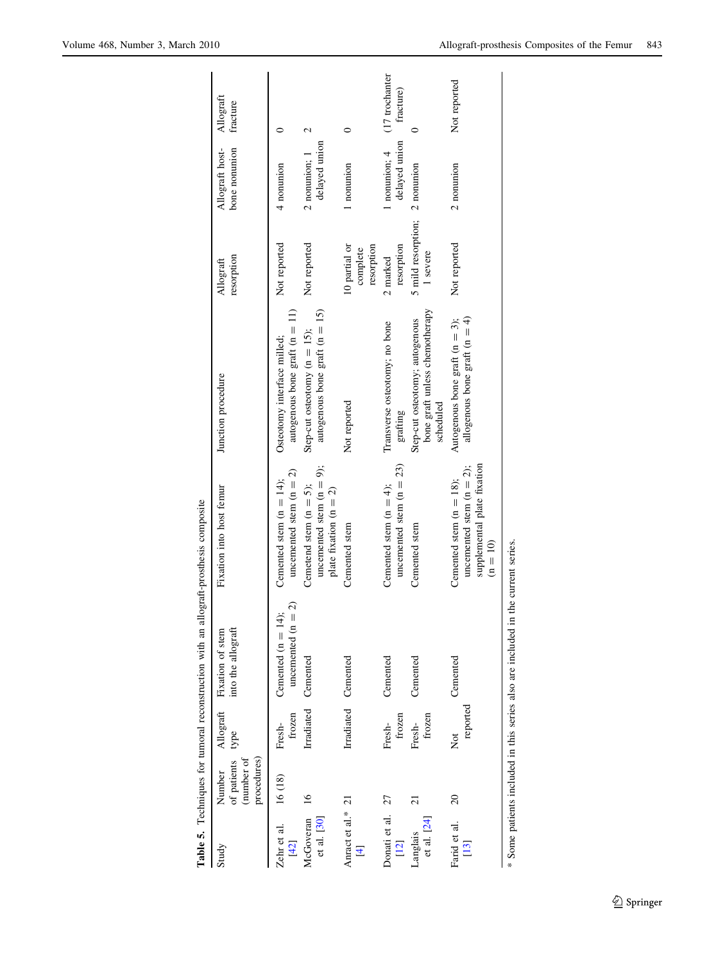<span id="page-9-0"></span>

|                                     |                                                    |                        | Table 5. Techniques for tumoral reconstruction with an all   | ograft-prosthesis composite                                                                            |                                                                               |                                         |                                  |                             |
|-------------------------------------|----------------------------------------------------|------------------------|--------------------------------------------------------------|--------------------------------------------------------------------------------------------------------|-------------------------------------------------------------------------------|-----------------------------------------|----------------------------------|-----------------------------|
| Study                               | procedures)<br>(number of<br>of patients<br>Number | Allograft<br>type      | into the allograft<br>Fixation of stem                       | Fixation into host femur                                                                               | Junction procedure                                                            | resorption<br>Allograft                 | Allograft host-<br>bone nonunion | Allograft<br>fracture       |
| Zehr et al.<br>$[42]$               | 16 (18)                                            | frozen<br>Fresh-       | $\Omega$<br>Cemented (n = $14$ )<br>uncemented $(n =$        | uncemented stem $(n = 2)$<br>Cemented stem $(n = 14)$ ;                                                | autogenous bone graft $(n = 11)$<br>Osteotomy interface milled;               | Not reported                            | 4 nonunion                       |                             |
| et al. [30]<br>McGoveran            | $\overline{16}$                                    | Irradiated             | Cemented                                                     | uncemented stem $(n = 9)$ ;<br>Cemetend stem $(n = 5)$ ;<br>plate fixation ( $n = 2$ )                 | autogenous bone graft ( $n = 15$ )<br>Step-cut osteotomy ( $n = 15$ );        | Not reported                            | delayed union<br>2 nonunion; 1   | 2                           |
| Anract et al.* 21<br>$\overline{4}$ |                                                    |                        | Irradiated Cemented                                          | Cemented stem                                                                                          | Not reported                                                                  | 10 partial or<br>resorption<br>complete | 1 nonunion                       | $\circ$                     |
| Donati et al.<br>$[12]$             | 27                                                 | frozen<br>Fresh-       | Cemented                                                     | uncemented stem $(n = 23)$<br>Cemented stem $(n = 4)$ ;                                                | Transverse osteotomy; no bone<br>grafting                                     | resorption<br>2 marked                  | delayed union<br>1 nonunion; 4   | (17 trochanter<br>fracture) |
| et al. $[24]$<br>Langlais           | 21                                                 | frozen<br>Fresh-       | Cemented                                                     | Cemented stem                                                                                          | bone graft unless chemotherapy<br>Step-cut osteotomy; autogenous<br>scheduled | 5 mild resorption;<br>1 severe          | 2 nonunion                       |                             |
| Farid et al.<br>$[13]$              | $\overline{c}$                                     | reported<br><b>Not</b> | Cemented                                                     | supplemental plate fixation<br>uncemented stem $(n = 2)$ ;<br>Cemented stem $(n = 18)$ ;<br>$(n = 10)$ | allogenous bone graft ( $n = 4$ )<br>Autogenous bone graft $(n = 3)$ ;        | Not reported                            | 2 nonunion                       | Not reported                |
|                                     |                                                    |                        | * Some patients included in this series also are included in | the current series.                                                                                    |                                                                               |                                         |                                  |                             |

| I<br>ı<br>:<br>;<br>;<br>tion with on a life-cent each<br>ı |
|-------------------------------------------------------------|
| ì                                                           |
|                                                             |
|                                                             |
| content to concern and content to the content of            |
| ı                                                           |
| ו<br>ו                                                      |
| .<br>.<br>.<br>I                                            |
|                                                             |
| I                                                           |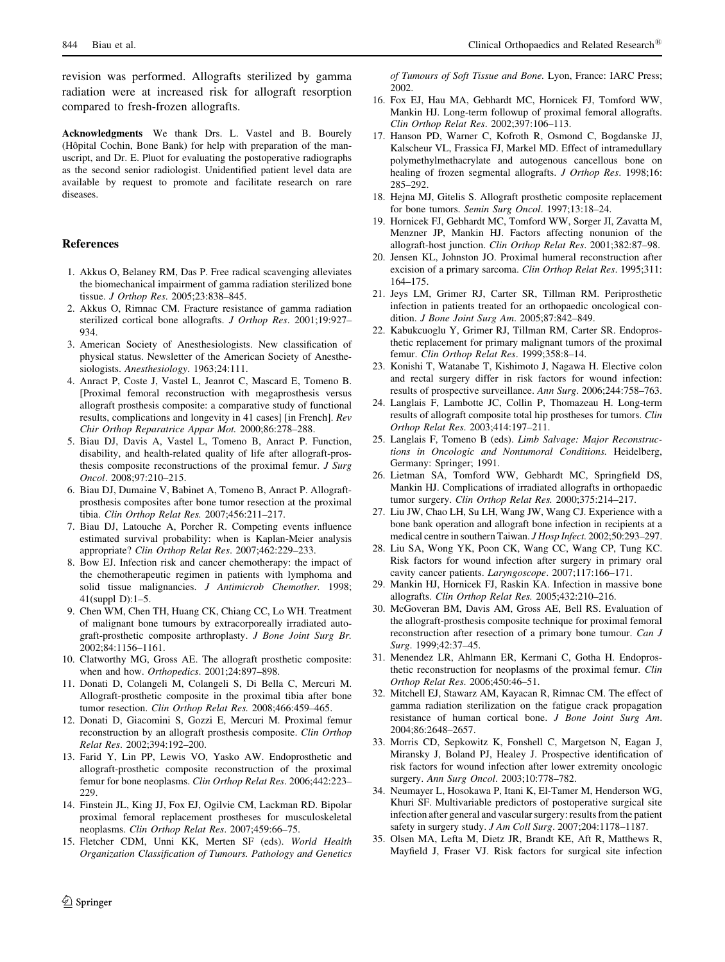<span id="page-10-0"></span>revision was performed. Allografts sterilized by gamma radiation were at increased risk for allograft resorption compared to fresh-frozen allografts.

Acknowledgments We thank Drs. L. Vastel and B. Bourely (Hôpital Cochin, Bone Bank) for help with preparation of the manuscript, and Dr. E. Pluot for evaluating the postoperative radiographs as the second senior radiologist. Unidentified patient level data are available by request to promote and facilitate research on rare diseases.

#### References

- 1. Akkus O, Belaney RM, Das P. Free radical scavenging alleviates the biomechanical impairment of gamma radiation sterilized bone tissue. J Orthop Res. 2005;23:838–845.
- 2. Akkus O, Rimnac CM. Fracture resistance of gamma radiation sterilized cortical bone allografts. J Orthop Res. 2001;19:927– 934.
- 3. American Society of Anesthesiologists. New classification of physical status. Newsletter of the American Society of Anesthesiologists. Anesthesiology. 1963;24:111.
- 4. Anract P, Coste J, Vastel L, Jeanrot C, Mascard E, Tomeno B. [Proximal femoral reconstruction with megaprosthesis versus allograft prosthesis composite: a comparative study of functional results, complications and longevity in 41 cases] [in French]. Rev Chir Orthop Reparatrice Appar Mot. 2000;86:278–288.
- 5. Biau DJ, Davis A, Vastel L, Tomeno B, Anract P. Function, disability, and health-related quality of life after allograft-prosthesis composite reconstructions of the proximal femur. J Surg Oncol. 2008;97:210–215.
- 6. Biau DJ, Dumaine V, Babinet A, Tomeno B, Anract P. Allograftprosthesis composites after bone tumor resection at the proximal tibia. Clin Orthop Relat Res. 2007;456:211–217.
- 7. Biau DJ, Latouche A, Porcher R. Competing events influence estimated survival probability: when is Kaplan-Meier analysis appropriate? Clin Orthop Relat Res. 2007;462:229–233.
- 8. Bow EJ. Infection risk and cancer chemotherapy: the impact of the chemotherapeutic regimen in patients with lymphoma and solid tissue malignancies. J Antimicrob Chemother. 1998; 41(suppl D):1–5.
- 9. Chen WM, Chen TH, Huang CK, Chiang CC, Lo WH. Treatment of malignant bone tumours by extracorporeally irradiated autograft-prosthetic composite arthroplasty. J Bone Joint Surg Br. 2002;84:1156–1161.
- 10. Clatworthy MG, Gross AE. The allograft prosthetic composite: when and how. *Orthopedics*. 2001;24:897-898.
- 11. Donati D, Colangeli M, Colangeli S, Di Bella C, Mercuri M. Allograft-prosthetic composite in the proximal tibia after bone tumor resection. Clin Orthop Relat Res. 2008;466:459–465.
- 12. Donati D, Giacomini S, Gozzi E, Mercuri M. Proximal femur reconstruction by an allograft prosthesis composite. Clin Orthop Relat Res. 2002;394:192–200.
- 13. Farid Y, Lin PP, Lewis VO, Yasko AW. Endoprosthetic and allograft-prosthetic composite reconstruction of the proximal femur for bone neoplasms. Clin Orthop Relat Res. 2006;442:223– 229.
- 14. Finstein JL, King JJ, Fox EJ, Ogilvie CM, Lackman RD. Bipolar proximal femoral replacement prostheses for musculoskeletal neoplasms. Clin Orthop Relat Res. 2007;459:66–75.
- 15. Fletcher CDM, Unni KK, Merten SF (eds). World Health Organization Classification of Tumours. Pathology and Genetics

of Tumours of Soft Tissue and Bone. Lyon, France: IARC Press; 2002.

- 16. Fox EJ, Hau MA, Gebhardt MC, Hornicek FJ, Tomford WW, Mankin HJ. Long-term followup of proximal femoral allografts. Clin Orthop Relat Res. 2002;397:106–113.
- 17. Hanson PD, Warner C, Kofroth R, Osmond C, Bogdanske JJ, Kalscheur VL, Frassica FJ, Markel MD. Effect of intramedullary polymethylmethacrylate and autogenous cancellous bone on healing of frozen segmental allografts. J Orthop Res. 1998;16: 285–292.
- 18. Hejna MJ, Gitelis S. Allograft prosthetic composite replacement for bone tumors. Semin Surg Oncol. 1997:13:18-24.
- 19. Hornicek FJ, Gebhardt MC, Tomford WW, Sorger JI, Zavatta M, Menzner JP, Mankin HJ. Factors affecting nonunion of the allograft-host junction. Clin Orthop Relat Res. 2001;382:87–98.
- 20. Jensen KL, Johnston JO. Proximal humeral reconstruction after excision of a primary sarcoma. Clin Orthop Relat Res. 1995;311: 164–175.
- 21. Jeys LM, Grimer RJ, Carter SR, Tillman RM. Periprosthetic infection in patients treated for an orthopaedic oncological condition. J Bone Joint Surg Am. 2005;87:842–849.
- 22. Kabukcuoglu Y, Grimer RJ, Tillman RM, Carter SR. Endoprosthetic replacement for primary malignant tumors of the proximal femur. Clin Orthop Relat Res. 1999;358:8–14.
- 23. Konishi T, Watanabe T, Kishimoto J, Nagawa H. Elective colon and rectal surgery differ in risk factors for wound infection: results of prospective surveillance. Ann Surg. 2006;244:758–763.
- 24. Langlais F, Lambotte JC, Collin P, Thomazeau H. Long-term results of allograft composite total hip prostheses for tumors. Clin Orthop Relat Res. 2003;414:197–211.
- 25. Langlais F, Tomeno B (eds). Limb Salvage: Major Reconstructions in Oncologic and Nontumoral Conditions. Heidelberg, Germany: Springer; 1991.
- 26. Lietman SA, Tomford WW, Gebhardt MC, Springfield DS, Mankin HJ. Complications of irradiated allografts in orthopaedic tumor surgery. Clin Orthop Relat Res. 2000;375:214–217.
- 27. Liu JW, Chao LH, Su LH, Wang JW, Wang CJ. Experience with a bone bank operation and allograft bone infection in recipients at a medical centre in southern Taiwan. J Hosp Infect. 2002;50:293–297.
- 28. Liu SA, Wong YK, Poon CK, Wang CC, Wang CP, Tung KC. Risk factors for wound infection after surgery in primary oral cavity cancer patients. Laryngoscope. 2007;117:166–171.
- 29. Mankin HJ, Hornicek FJ, Raskin KA. Infection in massive bone allografts. Clin Orthop Relat Res. 2005;432:210–216.
- 30. McGoveran BM, Davis AM, Gross AE, Bell RS. Evaluation of the allograft-prosthesis composite technique for proximal femoral reconstruction after resection of a primary bone tumour. Can J Surg. 1999;42:37–45.
- 31. Menendez LR, Ahlmann ER, Kermani C, Gotha H. Endoprosthetic reconstruction for neoplasms of the proximal femur. Clin Orthop Relat Res. 2006;450:46–51.
- 32. Mitchell EJ, Stawarz AM, Kayacan R, Rimnac CM. The effect of gamma radiation sterilization on the fatigue crack propagation resistance of human cortical bone. J Bone Joint Surg Am. 2004;86:2648–2657.
- 33. Morris CD, Sepkowitz K, Fonshell C, Margetson N, Eagan J, Miransky J, Boland PJ, Healey J. Prospective identification of risk factors for wound infection after lower extremity oncologic surgery. Ann Surg Oncol. 2003;10:778–782.
- 34. Neumayer L, Hosokawa P, Itani K, El-Tamer M, Henderson WG, Khuri SF. Multivariable predictors of postoperative surgical site infection after general and vascular surgery: results from the patient safety in surgery study. J Am Coll Surg. 2007;204:1178–1187.
- 35. Olsen MA, Lefta M, Dietz JR, Brandt KE, Aft R, Matthews R, Mayfield J, Fraser VJ. Risk factors for surgical site infection